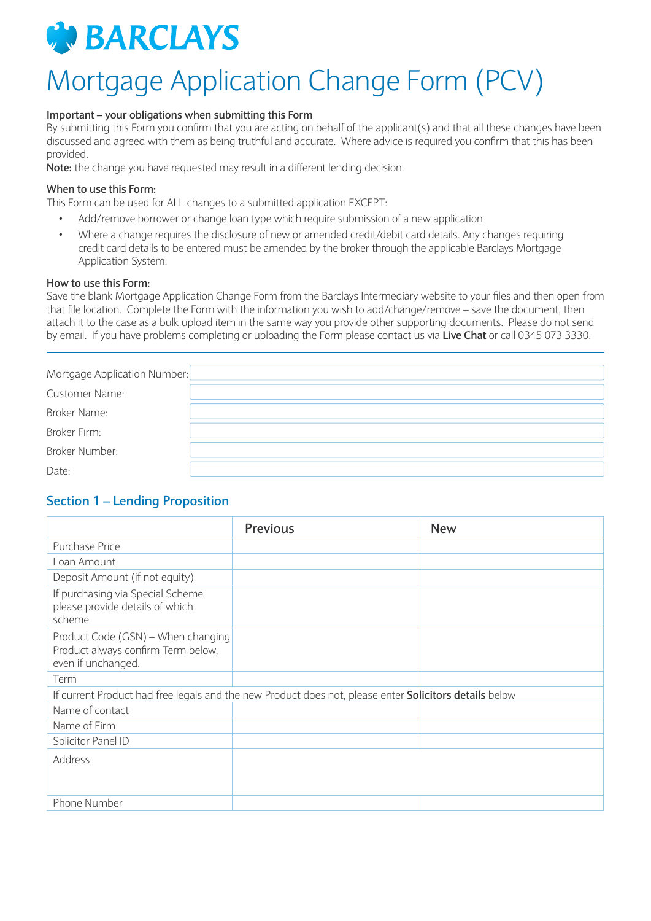

# Mortgage Application Change Form (PCV)

#### **Important – your obligations when submitting this Form**

By submitting this Form you confirm that you are acting on behalf of the applicant(s) and that all these changes have been discussed and agreed with them as being truthful and accurate. Where advice is required you confirm that this has been provided.

**Note:** the change you have requested may result in a different lending decision.

#### **When to use this Form:**

This Form can be used for ALL changes to a submitted application EXCEPT:

- Add/remove borrower or change loan type which require submission of a new application
- Where a change requires the disclosure of new or amended credit/debit card details. Any changes requiring credit card details to be entered must be amended by the broker through the applicable Barclays Mortgage Application System.

#### **How to use this Form:**

Save the blank Mortgage Application Change Form from the Barclays Intermediary website to your files and then open from that file location. Complete the Form with the information you wish to add/change/remove – save the document, then attach it to the case as a bulk upload item in the same way you provide other supporting documents. Please do not send by email. If you have problems completing or uploading the Form please contact us via **Live Chat** or call 0345 073 3330.

| Mortgage Application Number: |  |
|------------------------------|--|
| Customer Name:               |  |
| Broker Name:                 |  |
| Broker Firm:                 |  |
| <b>Broker Number:</b>        |  |
| Date:                        |  |

#### **Section 1 – Lending Proposition**

|                                                                                                | <b>Previous</b>                                                                                        | <b>New</b> |
|------------------------------------------------------------------------------------------------|--------------------------------------------------------------------------------------------------------|------------|
| Purchase Price                                                                                 |                                                                                                        |            |
| Loan Amount                                                                                    |                                                                                                        |            |
| Deposit Amount (if not equity)                                                                 |                                                                                                        |            |
| If purchasing via Special Scheme<br>please provide details of which<br>scheme                  |                                                                                                        |            |
| Product Code (GSN) – When changing<br>Product always confirm Term below,<br>even if unchanged. |                                                                                                        |            |
| Term                                                                                           |                                                                                                        |            |
|                                                                                                | If current Product had free legals and the new Product does not, please enter Solicitors details below |            |
| Name of contact                                                                                |                                                                                                        |            |
| Name of Firm                                                                                   |                                                                                                        |            |
| Solicitor Panel ID                                                                             |                                                                                                        |            |
| Address                                                                                        |                                                                                                        |            |
| Phone Number                                                                                   |                                                                                                        |            |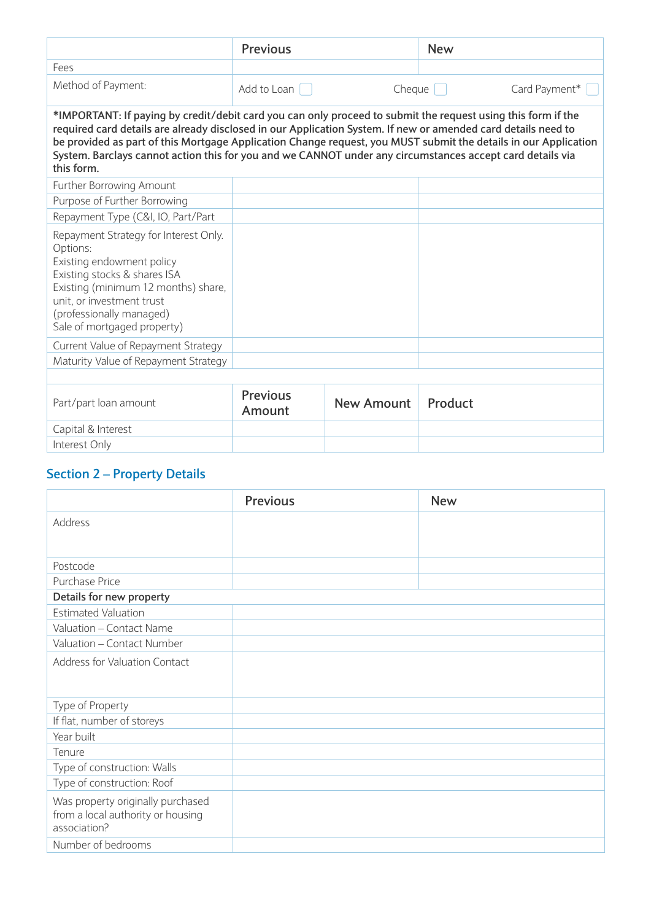|                                                                                                                                                                                                                                                                                                                                                          | <b>Previous</b>                              |            | <b>New</b>                                                                                                      |
|----------------------------------------------------------------------------------------------------------------------------------------------------------------------------------------------------------------------------------------------------------------------------------------------------------------------------------------------------------|----------------------------------------------|------------|-----------------------------------------------------------------------------------------------------------------|
| Fees                                                                                                                                                                                                                                                                                                                                                     |                                              |            |                                                                                                                 |
| Method of Payment:                                                                                                                                                                                                                                                                                                                                       | Add to Loan<br>$Cheque$ $ $<br>Card Payment* |            |                                                                                                                 |
| *IMPORTANT: If paying by credit/debit card you can only proceed to submit the request using this form if the<br>required card details are already disclosed in our Application System. If new or amended card details need to<br>System. Barclays cannot action this for you and we CANNOT under any circumstances accept card details via<br>this form. |                                              |            | be provided as part of this Mortgage Application Change request, you MUST submit the details in our Application |
| Further Borrowing Amount                                                                                                                                                                                                                                                                                                                                 |                                              |            |                                                                                                                 |
| Purpose of Further Borrowing                                                                                                                                                                                                                                                                                                                             |                                              |            |                                                                                                                 |
| Repayment Type (C&I, IO, Part/Part                                                                                                                                                                                                                                                                                                                       |                                              |            |                                                                                                                 |
| Repayment Strategy for Interest Only.<br>Options:<br>Existing endowment policy<br>Existing stocks & shares ISA<br>Existing (minimum 12 months) share,<br>unit, or investment trust<br>(professionally managed)<br>Sale of mortgaged property)                                                                                                            |                                              |            |                                                                                                                 |
| Current Value of Repayment Strategy                                                                                                                                                                                                                                                                                                                      |                                              |            |                                                                                                                 |
| Maturity Value of Repayment Strategy                                                                                                                                                                                                                                                                                                                     |                                              |            |                                                                                                                 |
| Part/part loan amount                                                                                                                                                                                                                                                                                                                                    | <b>Previous</b><br>Amount                    | New Amount | Product                                                                                                         |
| Capital & Interest                                                                                                                                                                                                                                                                                                                                       |                                              |            |                                                                                                                 |
| Interest Only                                                                                                                                                                                                                                                                                                                                            |                                              |            |                                                                                                                 |

# **Section 2 – Property Details**

|                                   | <b>Previous</b> | <b>New</b> |
|-----------------------------------|-----------------|------------|
| Address                           |                 |            |
|                                   |                 |            |
| Postcode                          |                 |            |
| Purchase Price                    |                 |            |
| Details for new property          |                 |            |
| <b>Estimated Valuation</b>        |                 |            |
| Valuation - Contact Name          |                 |            |
| Valuation - Contact Number        |                 |            |
| Address for Valuation Contact     |                 |            |
|                                   |                 |            |
|                                   |                 |            |
| Type of Property                  |                 |            |
| If flat, number of storeys        |                 |            |
| Year built                        |                 |            |
| Tenure                            |                 |            |
| Type of construction: Walls       |                 |            |
| Type of construction: Roof        |                 |            |
| Was property originally purchased |                 |            |
| from a local authority or housing |                 |            |
| association?                      |                 |            |
| Number of bedrooms                |                 |            |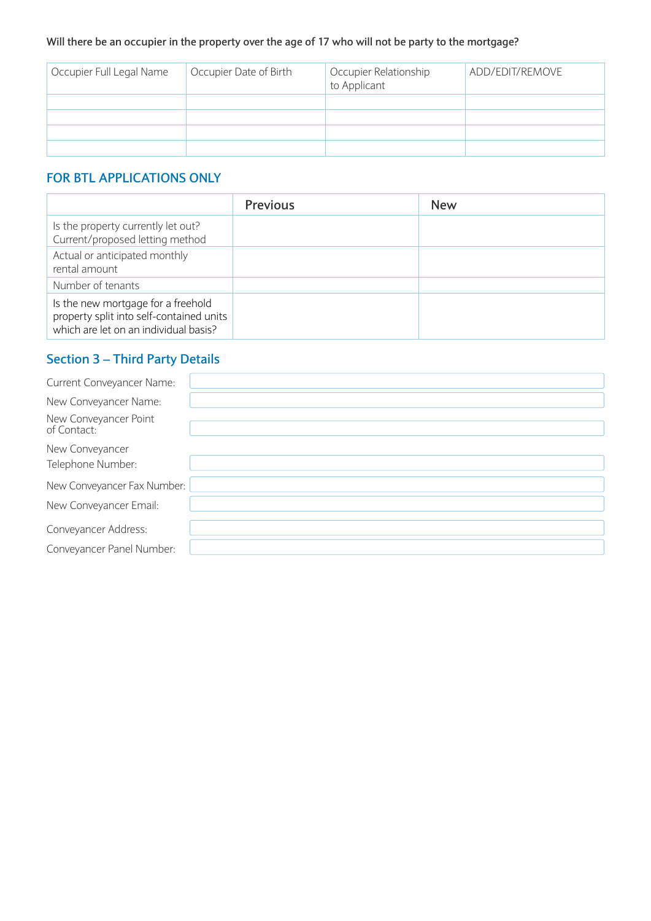#### **Will there be an occupier in the property over the age of 17 who will not be party to the mortgage?**

| Occupier Full Legal Name | Occupier Date of Birth | Occupier Relationship<br>to Applicant | ADD/EDIT/REMOVE |
|--------------------------|------------------------|---------------------------------------|-----------------|
|                          |                        |                                       |                 |
|                          |                        |                                       |                 |
|                          |                        |                                       |                 |
|                          |                        |                                       |                 |

## **FOR BTL APPLICATIONS ONLY**

|                                                                                                                         | <b>Previous</b> | <b>New</b> |
|-------------------------------------------------------------------------------------------------------------------------|-----------------|------------|
| Is the property currently let out?<br>Current/proposed letting method                                                   |                 |            |
| Actual or anticipated monthly<br>rental amount                                                                          |                 |            |
| Number of tenants                                                                                                       |                 |            |
| Is the new mortgage for a freehold<br>property split into self-contained units<br>which are let on an individual basis? |                 |            |

## **Section 3 – Third Party Details**

| Current Conveyancer Name:            |  |
|--------------------------------------|--|
| New Conveyancer Name:                |  |
| New Conveyancer Point<br>of Contact: |  |
| New Conveyancer<br>Telephone Number: |  |
| New Conveyancer Fax Number:          |  |
| New Conveyancer Email:               |  |
| Conveyancer Address:                 |  |
| Conveyancer Panel Number:            |  |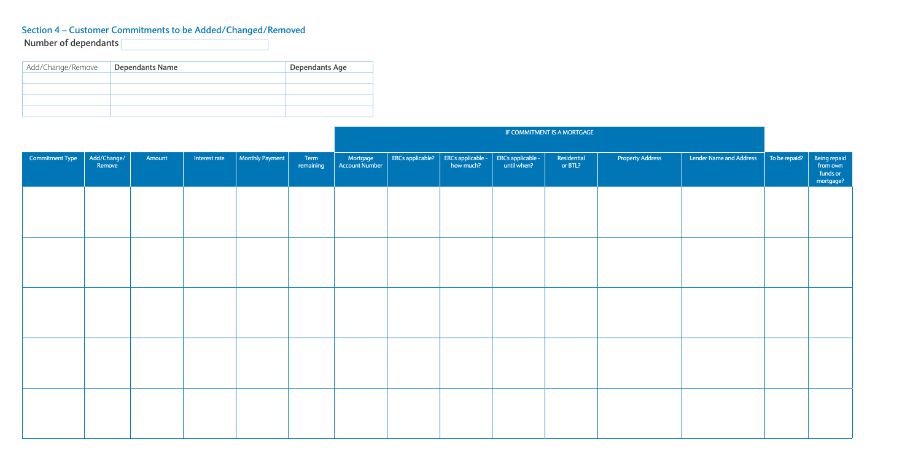# **Section 4 – Customer Commitments to be Added/Changed/Removed**

| Add/Change/Remove | <b>Dependants Name</b> | Dependants Age |
|-------------------|------------------------|----------------|
|                   |                        |                |
|                   |                        |                |
|                   |                        |                |
|                   |                        |                |

|                        |                       |        |               |                 |                   |                   |                  |                                |                                  | IF COMMITMENT IS A MORTGAGE |                         |                         |               |                                                   |
|------------------------|-----------------------|--------|---------------|-----------------|-------------------|-------------------|------------------|--------------------------------|----------------------------------|-----------------------------|-------------------------|-------------------------|---------------|---------------------------------------------------|
| <b>Commitment Type</b> | Add/Change/<br>Remove | Amount | Interest rate | Monthly Payment | Term<br>remaining | Mortgage Mortgage | ERCs applicable? | ERCs applicable -<br>how much? | ERCs applicable -<br>until when? | Residential<br>or BTL?      | <b>Property Address</b> | Lender Name and Address | To be repaid? | Being repaid<br>from own<br>funds or<br>mortgage? |
|                        |                       |        |               |                 |                   |                   |                  |                                |                                  |                             |                         |                         |               |                                                   |
|                        |                       |        |               |                 |                   |                   |                  |                                |                                  |                             |                         |                         |               |                                                   |
|                        |                       |        |               |                 |                   |                   |                  |                                |                                  |                             |                         |                         |               |                                                   |
|                        |                       |        |               |                 |                   |                   |                  |                                |                                  |                             |                         |                         |               |                                                   |
|                        |                       |        |               |                 |                   |                   |                  |                                |                                  |                             |                         |                         |               |                                                   |
|                        |                       |        |               |                 |                   |                   |                  |                                |                                  |                             |                         |                         |               |                                                   |

**Number of dependants**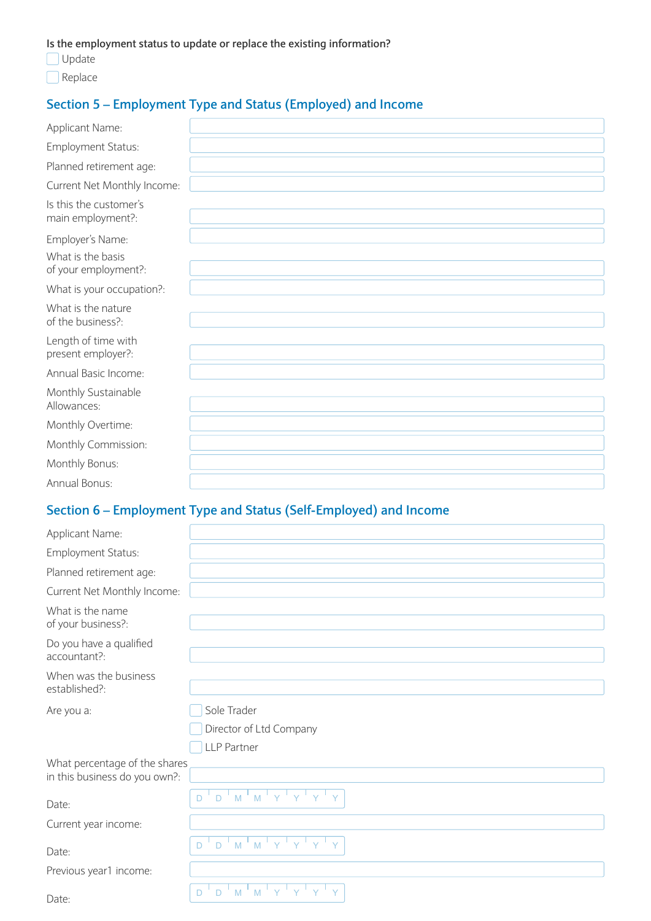**Is the employment status to update or replace the existing information?**

- **Update**
- Replace

## **Section 5 – Employment Type and Status (Employed) and Income**

| Applicant Name:                             |  |
|---------------------------------------------|--|
| Employment Status:                          |  |
| Planned retirement age:                     |  |
| Current Net Monthly Income:                 |  |
| Is this the customer's<br>main employment?: |  |
| Employer's Name:                            |  |
| What is the basis<br>of your employment?:   |  |
| What is your occupation?:                   |  |
| What is the nature<br>of the business?:     |  |
| Length of time with<br>present employer?:   |  |
| Annual Basic Income:                        |  |
| Monthly Sustainable<br>Allowances:          |  |
| Monthly Overtime:                           |  |
| Monthly Commission:                         |  |
| Monthly Bonus:                              |  |
| Annual Bonus:                               |  |

## **Section 6 – Employment Type and Status (Self-Employed) and Income**

| Applicant Name:                                                |                                                                                  |
|----------------------------------------------------------------|----------------------------------------------------------------------------------|
| Employment Status:                                             |                                                                                  |
| Planned retirement age:                                        |                                                                                  |
| Current Net Monthly Income:                                    |                                                                                  |
| What is the name<br>of your business?:                         |                                                                                  |
| Do you have a qualified<br>accountant?:                        |                                                                                  |
| When was the business<br>established?:                         |                                                                                  |
| Are you a:                                                     | Sole Trader                                                                      |
|                                                                | Director of Ltd Company                                                          |
|                                                                | <b>LLP Partner</b>                                                               |
| What percentage of the shares<br>in this business do you own?: |                                                                                  |
| Date:                                                          | $M$ $M$ $Y$ $Y$<br>$D^{-1}$<br>$\Box$                                            |
| Current year income:                                           |                                                                                  |
| Date:                                                          | $M$ <sup><math>\parallel</math></sup> M<br>Y<br>$^+$ Y<br>D<br>$\vee$<br>Y.<br>D |
| Previous year1 income:                                         |                                                                                  |
| Date:                                                          | $\overline{M}$<br>Ŷ<br>$\mathsf{M}$<br>D<br>D                                    |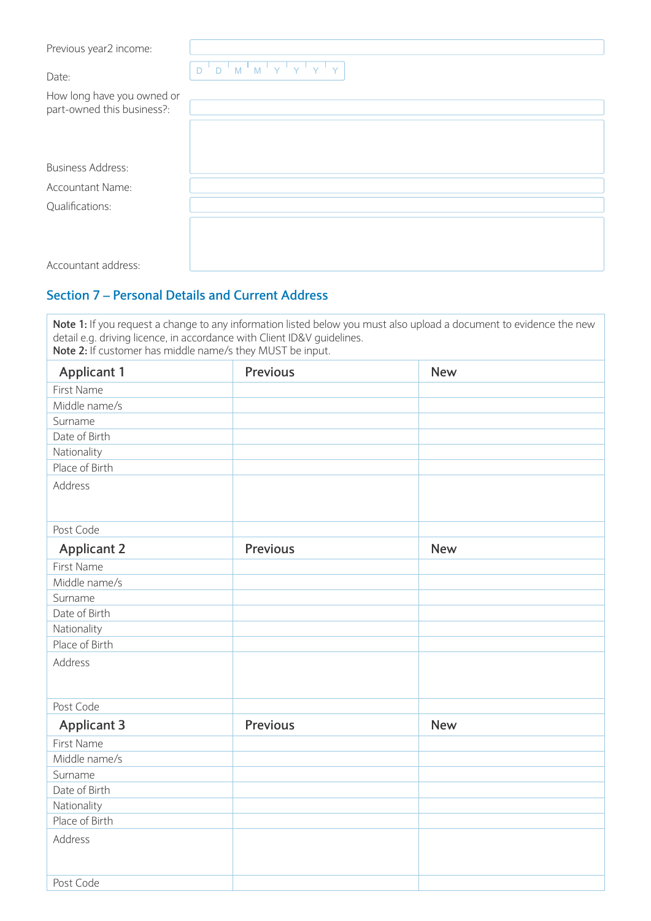Previous year2 income:

Date:  $D^{\text{L}} D^{\text{L}} M^{\text{L}} M^{\text{L}} Y^{\text{L}} Y^{\text{L}} Y^{\text{L}} Y^{\text{L}} Y^{\text{L}} Y^{\text{L}} Y^{\text{L}} Y^{\text{L}} Y^{\text{L}} Y^{\text{L}} Y^{\text{L}} Y^{\text{L}} Y^{\text{L}} Y^{\text{L}} Y^{\text{L}} Y^{\text{L}} Y^{\text{L}} Y^{\text{L}} Y^{\text{L}} Y^{\text{L}} Y^{\text{L}} Y^{\text{L}} Y^{\text{L}} Y^{\text{L}} Y^{\text{L}} Y^{\text{L}} Y^{\text$ 

| How long have you owned or |
|----------------------------|
| part-owned this business?: |

| <b>Business Address:</b> |  |  |
|--------------------------|--|--|
| Accountant Name:         |  |  |
| Qualifications:          |  |  |
|                          |  |  |
|                          |  |  |
| Accountant address:      |  |  |
|                          |  |  |

### **Section 7 – Personal Details and Current Address**

**Note 1:** If you request a change to any information listed below you must also upload a document to evidence the new detail e.g. driving licence, in accordance with Client ID&V guidelines. **Note 2:** If customer has middle name/s they MUST be input.

| <b>Applicant 1</b> | <b>Previous</b> | <b>New</b> |
|--------------------|-----------------|------------|
| First Name         |                 |            |
| Middle name/s      |                 |            |
| Surname            |                 |            |
| Date of Birth      |                 |            |
| Nationality        |                 |            |
| Place of Birth     |                 |            |
| Address            |                 |            |
|                    |                 |            |
| Post Code          |                 |            |
| <b>Applicant 2</b> | <b>Previous</b> | <b>New</b> |
| First Name         |                 |            |
| Middle name/s      |                 |            |
| Surname            |                 |            |
| Date of Birth      |                 |            |
| Nationality        |                 |            |
| Place of Birth     |                 |            |
| Address            |                 |            |
|                    |                 |            |
| Post Code          |                 |            |
| <b>Applicant 3</b> | <b>Previous</b> | <b>New</b> |
| First Name         |                 |            |
| Middle name/s      |                 |            |
| Surname            |                 |            |
| Date of Birth      |                 |            |
| Nationality        |                 |            |
| Place of Birth     |                 |            |
| Address            |                 |            |
|                    |                 |            |
| Post Code          |                 |            |